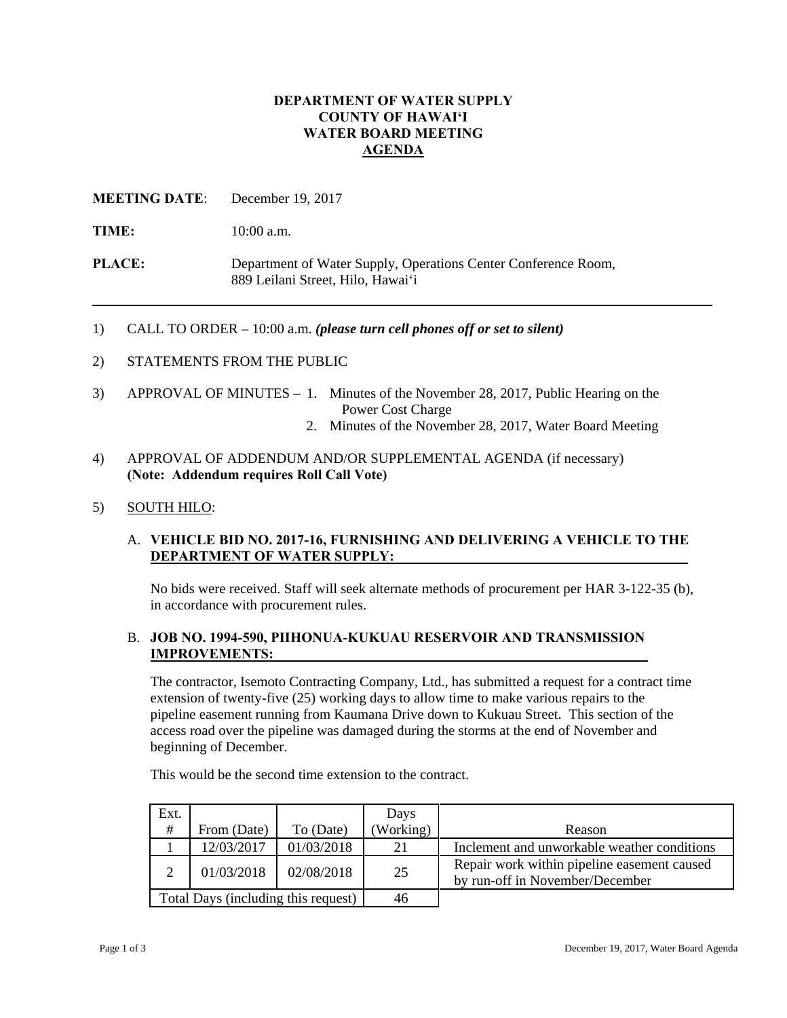# **DEPARTMENT OF WATER SUPPLY COUNTY OF HAWAI'I WATER BOARD MEETING AGENDA**

**MEETING DATE**: December 19, 2017

**TIME:** 10:00 a.m.

**PLACE:** Department of Water Supply, Operations Center Conference Room, 889 Leilani Street, Hilo, Hawai'i

1) CALL TO ORDER – 10:00 a.m. *(please turn cell phones off or set to silent)*

- 2) STATEMENTS FROM THE PUBLIC
- 3) APPROVAL OF MINUTES 1. Minutes of the November 28, 2017, Public Hearing on the Power Cost Charge
	- 2. Minutes of the November 28, 2017, Water Board Meeting
- 4) APPROVAL OF ADDENDUM AND/OR SUPPLEMENTAL AGENDA (if necessary)  **(Note: Addendum requires Roll Call Vote)**
- 5) SOUTH HILO:

# A. **VEHICLE BID NO. 2017-16, FURNISHING AND DELIVERING A VEHICLE TO THE DEPARTMENT OF WATER SUPPLY:**

No bids were received. Staff will seek alternate methods of procurement per HAR 3-122-35 (b), in accordance with procurement rules.

# B. **JOB NO. 1994-590, PIIHONUA-KUKUAU RESERVOIR AND TRANSMISSION IMPROVEMENTS:**

The contractor, Isemoto Contracting Company, Ltd., has submitted a request for a contract time extension of twenty-five (25) working days to allow time to make various repairs to the pipeline easement running from Kaumana Drive down to Kukuau Street. This section of the access road over the pipeline was damaged during the storms at the end of November and beginning of December.

This would be the second time extension to the contract.

| Ext.                                |             |            | Days      |                                                                                |
|-------------------------------------|-------------|------------|-----------|--------------------------------------------------------------------------------|
| #                                   | From (Date) | To (Date)  | (Working) | Reason                                                                         |
|                                     | 12/03/2017  | 01/03/2018 | 21        | Inclement and unworkable weather conditions                                    |
|                                     | 01/03/2018  | 02/08/2018 | 25        | Repair work within pipeline easement caused<br>by run-off in November/December |
| Total Days (including this request) |             |            | 46        |                                                                                |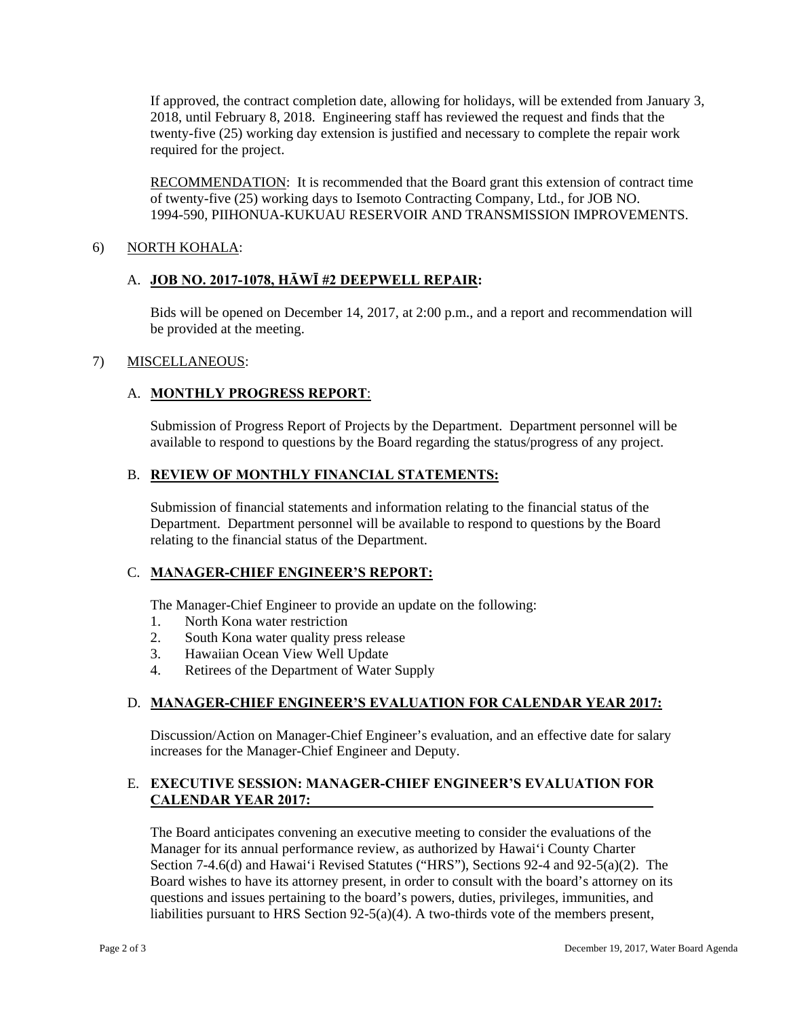If approved, the contract completion date, allowing for holidays, will be extended from January 3, 2018, until February 8, 2018. Engineering staff has reviewed the request and finds that the twenty-five (25) working day extension is justified and necessary to complete the repair work required for the project.

RECOMMENDATION: It is recommended that the Board grant this extension of contract time of twenty-five (25) working days to Isemoto Contracting Company, Ltd., for JOB NO. 1994-590, PIIHONUA-KUKUAU RESERVOIR AND TRANSMISSION IMPROVEMENTS.

### 6) NORTH KOHALA:

### A. **JOB NO. 2017-1078, HĀWĪ #2 DEEPWELL REPAIR:**

Bids will be opened on December 14, 2017, at 2:00 p.m., and a report and recommendation will be provided at the meeting.

#### 7) MISCELLANEOUS:

# A. **MONTHLY PROGRESS REPORT**:

Submission of Progress Report of Projects by the Department. Department personnel will be available to respond to questions by the Board regarding the status/progress of any project.

#### B. **REVIEW OF MONTHLY FINANCIAL STATEMENTS:**

Submission of financial statements and information relating to the financial status of the Department. Department personnel will be available to respond to questions by the Board relating to the financial status of the Department.

#### C. **MANAGER-CHIEF ENGINEER'S REPORT:**

The Manager-Chief Engineer to provide an update on the following:

- 1. North Kona water restriction
- 2. South Kona water quality press release
- 3. Hawaiian Ocean View Well Update
- 4. Retirees of the Department of Water Supply

# D. **MANAGER-CHIEF ENGINEER'S EVALUATION FOR CALENDAR YEAR 2017:**

Discussion/Action on Manager-Chief Engineer's evaluation, and an effective date for salary increases for the Manager-Chief Engineer and Deputy.

# E. **EXECUTIVE SESSION: MANAGER-CHIEF ENGINEER'S EVALUATION FOR CALENDAR YEAR 2017:**

The Board anticipates convening an executive meeting to consider the evaluations of the Manager for its annual performance review, as authorized by Hawai'i County Charter Section 7-4.6(d) and Hawai'i Revised Statutes ("HRS"), Sections 92-4 and 92-5(a)(2). The Board wishes to have its attorney present, in order to consult with the board's attorney on its questions and issues pertaining to the board's powers, duties, privileges, immunities, and liabilities pursuant to HRS Section  $92-5(a)(4)$ . A two-thirds vote of the members present,